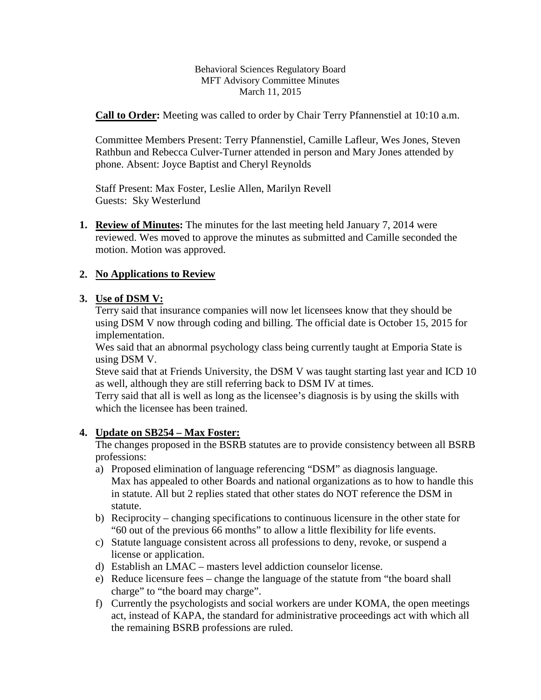Behavioral Sciences Regulatory Board MFT Advisory Committee Minutes March 11, 2015

**Call to Order:** Meeting was called to order by Chair Terry Pfannenstiel at 10:10 a.m.

Committee Members Present: Terry Pfannenstiel, Camille Lafleur, Wes Jones, Steven Rathbun and Rebecca Culver-Turner attended in person and Mary Jones attended by phone. Absent: Joyce Baptist and Cheryl Reynolds

Staff Present: Max Foster, Leslie Allen, Marilyn Revell Guests: Sky Westerlund

**1. Review of Minutes:** The minutes for the last meeting held January 7, 2014 were reviewed. Wes moved to approve the minutes as submitted and Camille seconded the motion. Motion was approved.

## **2. No Applications to Review**

## **3. Use of DSM V:**

Terry said that insurance companies will now let licensees know that they should be using DSM V now through coding and billing. The official date is October 15, 2015 for implementation.

Wes said that an abnormal psychology class being currently taught at Emporia State is using DSM V.

Steve said that at Friends University, the DSM V was taught starting last year and ICD 10 as well, although they are still referring back to DSM IV at times.

Terry said that all is well as long as the licensee's diagnosis is by using the skills with which the licensee has been trained.

## **4. Update on SB254 – Max Foster:**

The changes proposed in the BSRB statutes are to provide consistency between all BSRB professions:

- a) Proposed elimination of language referencing "DSM" as diagnosis language. Max has appealed to other Boards and national organizations as to how to handle this in statute. All but 2 replies stated that other states do NOT reference the DSM in statute.
- b) Reciprocity changing specifications to continuous licensure in the other state for "60 out of the previous 66 months" to allow a little flexibility for life events.
- c) Statute language consistent across all professions to deny, revoke, or suspend a license or application.
- d) Establish an LMAC masters level addiction counselor license.
- e) Reduce licensure fees change the language of the statute from "the board shall charge" to "the board may charge".
- f) Currently the psychologists and social workers are under KOMA, the open meetings act, instead of KAPA, the standard for administrative proceedings act with which all the remaining BSRB professions are ruled.